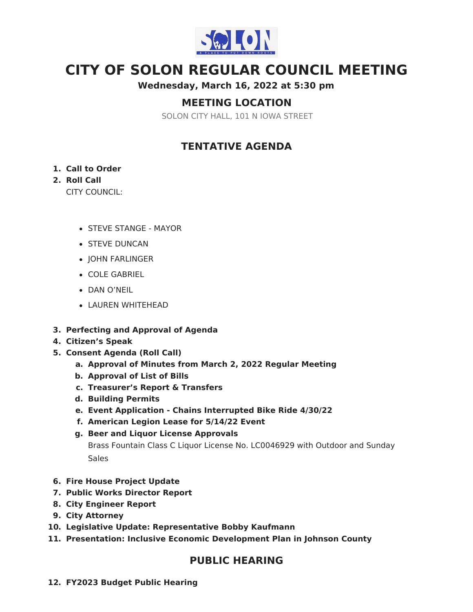

# **CITY OF SOLON REGULAR COUNCIL MEETING**

**Wednesday, March 16, 2022 at 5:30 pm**

# **MEETING LOCATION**

SOLON CITY HALL, 101 N IOWA STREET

# **TENTATIVE AGENDA**

### **1. Call to Order**

### **2. Roll Call**

CITY COUNCIL:

- STEVE STANGE MAYOR
- **STEVE DUNCAN**
- JOHN FARLINGER
- COLE GABRIEL
- DAN O'NEIL
- LAUREN WHITEHEAD
- **3. Perfecting and Approval of Agenda**
- **4. Citizen's Speak**
- **5. Consent Agenda (Roll Call)**
	- **a. Approval of Minutes from March 2, 2022 Regular Meeting**
	- **b. Approval of List of Bills**
	- **c. Treasurer's Report & Transfers**
	- **d. Building Permits**
	- **e. Event Application - Chains Interrupted Bike Ride 4/30/22**
	- **f. American Legion Lease for 5/14/22 Event**
	- **g. Beer and Liquor License Approvals**

Brass Fountain Class C Liquor License No. LC0046929 with Outdoor and Sunday Sales

- **6. Fire House Project Update**
- **7. Public Works Director Report**
- **8. City Engineer Report**
- **9. City Attorney**
- **10. Legislative Update: Representative Bobby Kaufmann**
- **11. Presentation: Inclusive Economic Development Plan in Johnson County**

### **PUBLIC HEARING**